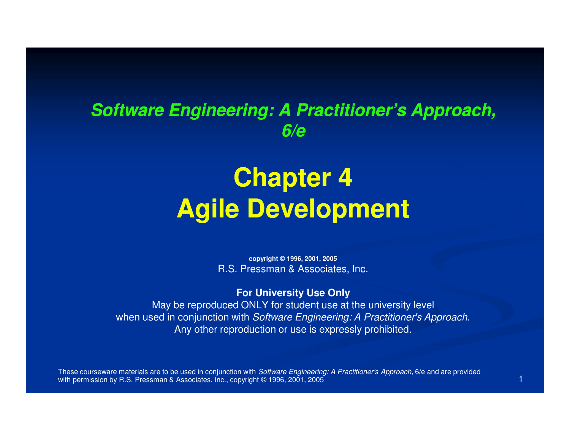### **Software Engineering: A Practitioner's Approach, 6/e**

# **Chapter 4Agile Development**

**copyright © 1996, 2001, 2005**R.S. Pressman & Associates, Inc.

**For University Use Only**

 May be reproduced ONLY for student use at the university levelwhen used in conjunction with Software Engineering: A Practitioner's Approach. Any other reproduction or use is expressly prohibited.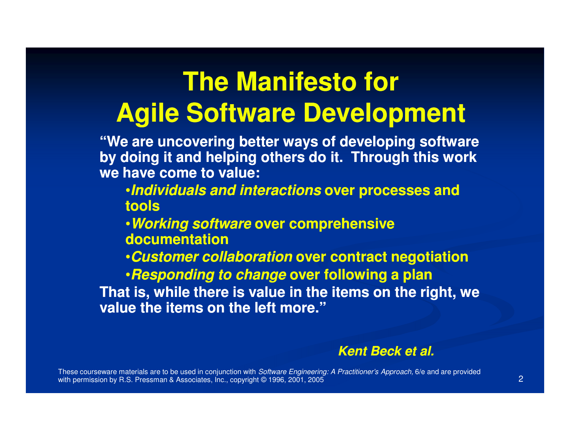# **The Manifesto for Agile Software Development**

**"We are uncovering better ways of developing software by doing it and helping others do it. Through this work we have come to value:** 

•**Individuals and interactions over processes and tools** 

•**Working software over comprehensive documentation** 

•**Customer collaboration over contract negotiation** 

•**Responding to change over following a plan That is, while there is value in the items on the right, we value the items on the left more."**

#### **Kent Beck et al.**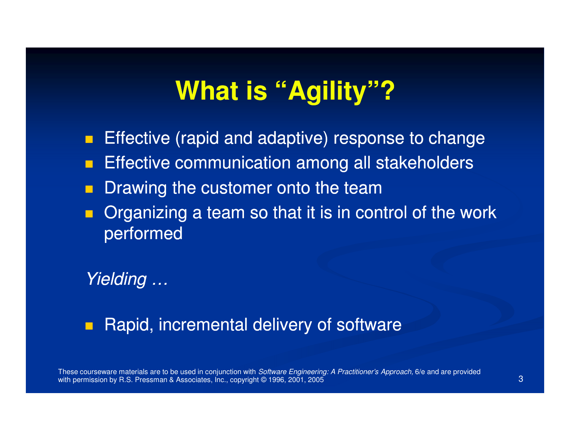### **What is "Agility"?**

- $\mathcal{L}_{\mathcal{A}}$ Effective (rapid and adaptive) response to change
- P. Effective communication among all stakeholders
- P. Drawing the customer onto the team
- **Organizing a team so that it is in control of the work** performed

Yielding …

Rapid, incremental delivery of software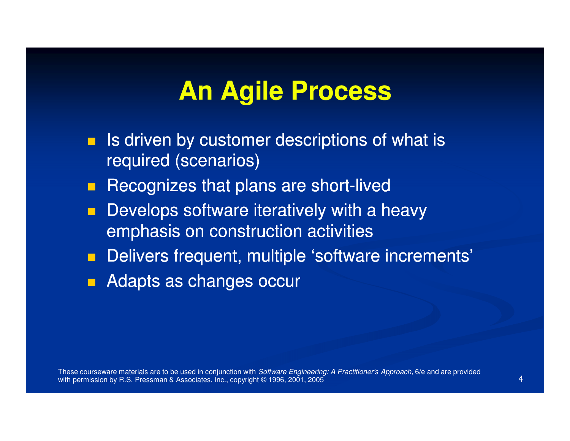### **An Agile Process**

- $\blacksquare$  Is driven by customer descriptions of what is required (scenarios)
- $\blacksquare$ Recognizes that plans are short-lived
- $\blacksquare$  Develops software iteratively with a heavy emphasis on construction activities
- $\blacksquare$ Delivers frequent, multiple 'software increments'
- $\Box$ Adapts as changes occur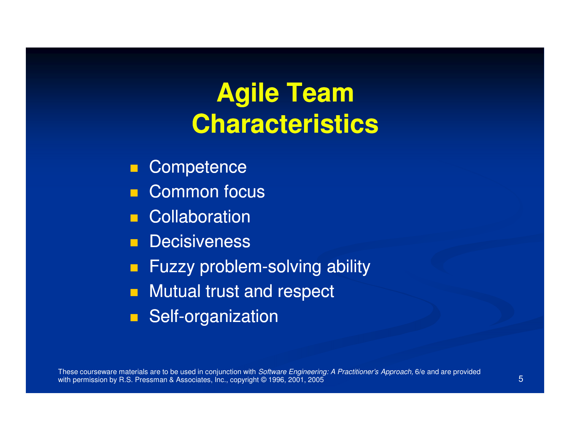# **Agile Team Characteristics**

- **Competence**
- Common focus
- **E** Collaboration
- **Decisiveness**
- **Fuzzy problem-solving ability** solving ability
- **Nutual trust and respect**
- **Self-organization**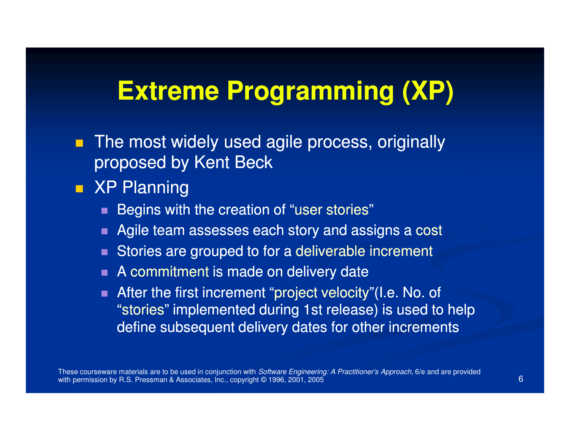### **Extreme Programming (XP)**

- **The most widely used agile process, originally** proposed by Kent Beck
- **READ XP Planning** 
	- **Begins with the creation of "user stories"**
	- Agile team assesses each story and assigns a cost
	- Stories are grouped to for a deliverable increment
	- $\blacksquare$  A commitment is made on delivery date
	- After the first increment "project velocity"(I.e. No. of "stories" implemented during 1st release) is used to help define subsequent delivery dates for other increments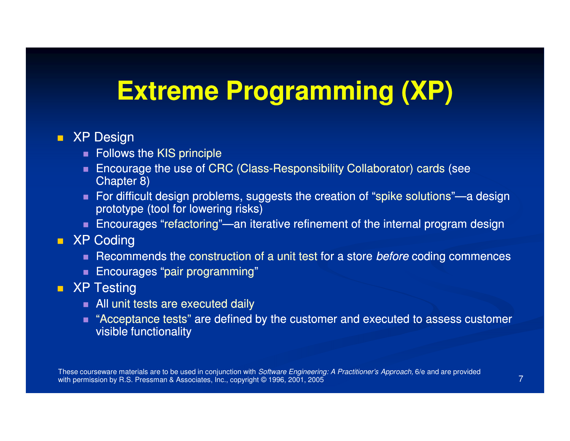### **Extreme Programming (XP)**

#### ■ XP Design

- $\blacksquare$  Follows the KIS principle
- **Encourage the use of CRC (Class-Responsibility Collaborator) cards (see** Chapter 8)
- For difficult design problems, suggests the creation of "spike solutions"—a design prototype (tool for lowering risks)
- Encourages "refactoring"—an iterative refinement of the internal program design

#### **XP Coding**

- $\blacksquare$  Recommends the construction of a unit test for a store *before* coding commences
- $\blacksquare$  Encourages "pair programming"

#### ■ XP Testing

- All unit tests are executed daily
- "Acceptance tests" are defined by the customer and executed to assess customer visible functionality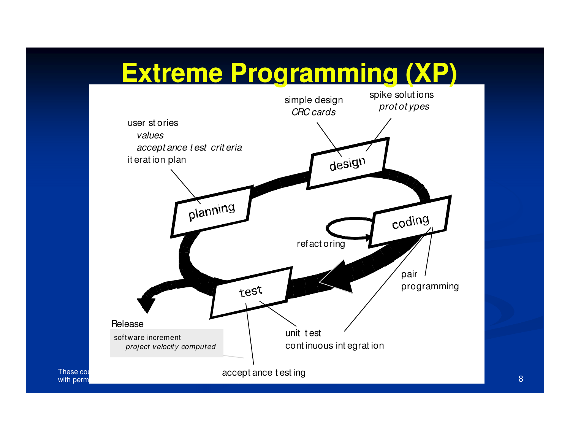### **Extreme Programming (XP)**



8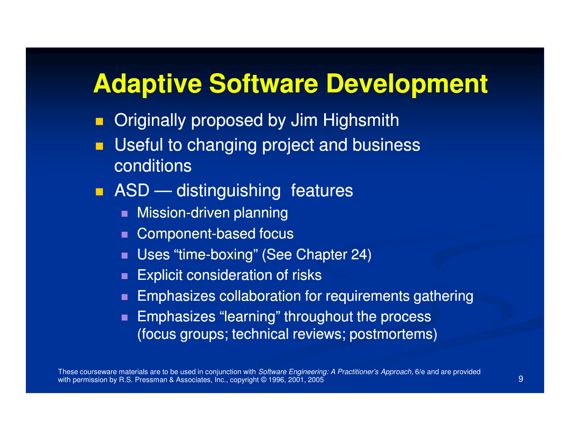### **Adaptive Software Development**

- П Originally proposed by Jim Highsmith
- $\blacksquare$  Useful to changing project and business conditions
- **ASD** distinguishing features
	- Mission-driven planning
	- п Component-based focus
	- Uses "time-boxing" (See Chapter 24)
	- Explicit consideration of risks
	- **Emphasizes collaboration for requirements gathering**
	- п Emphasizes "learning" throughout the process (focus groups; technical reviews; postmortems)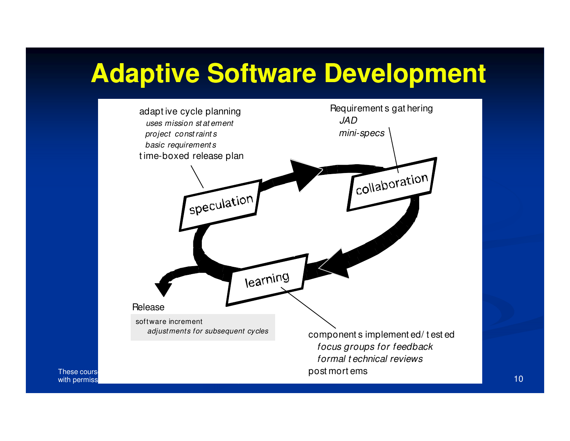## **Adaptive Software Development**



with permiss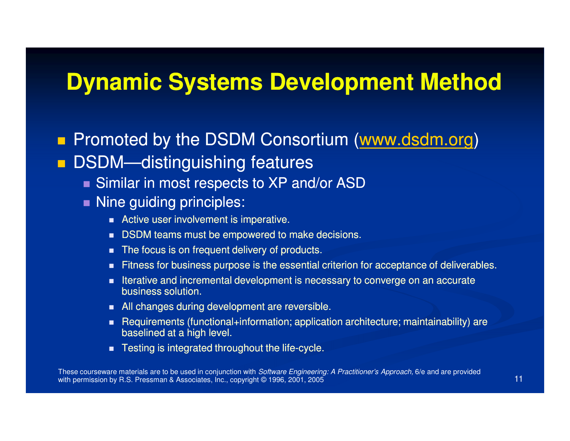### **Dynamic Systems Development Method**

 $\blacksquare$  Promoted by the DSDM Consortium (www.dsdm.org)  $\blacksquare$ DSDM—distinguishing features

- Similar in most respects to XP and/or ASD
- Nine guiding principles:
	- Active user involvement is imperative.
	- п DSDM teams must be empowered to make decisions.
	- The focus is on frequent delivery of products.
	- Fitness for business purpose is the essential criterion for acceptance of deliverables.
	- п Iterative and incremental development is necessary to converge on an accurate business solution.
	- All changes during development are reversible.
	- п Requirements (functional+information; application architecture; maintainability) are baselined at a high level.
	- $\blacksquare$  Testing is integrated throughout the life-cycle.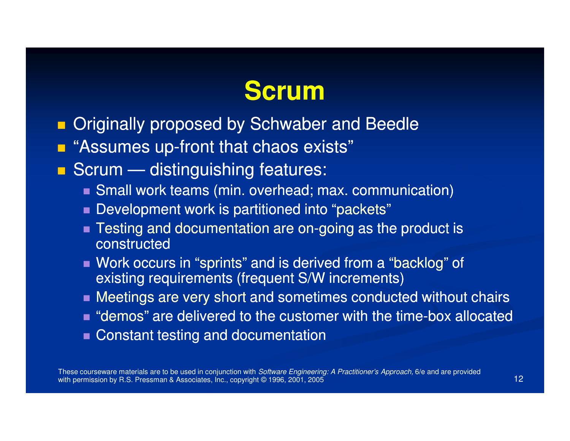### **Scrum**

- $\blacksquare$ **Diminally proposed by Schwaber and Beedler**
- $\blacksquare$ **E** "Assumes up-front that chaos exists"
- Scrum distinguishing features:
	- Small work teams (min. overhead; max. communication)
	- Development work is partitioned into "packets"
	- Testing and documentation are on-going as the product is constructed
	- Work occurs in "sprints" and is derived from a "backlog" of existing requirements (frequent S/W increments)
	- Meetings are very short and sometimes conducted without chairs
	- $\blacksquare$  "demos" are delivered to the customer with the time-box allocated
	- **Constant testing and documentation**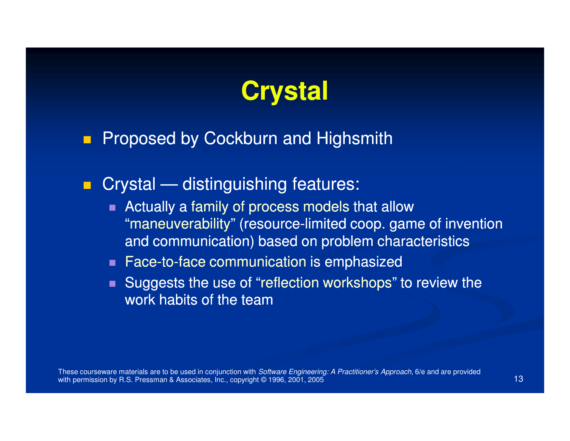

#### Proposed by Cockburn and Highsmith

**Crystal — distinguishing features:** 

- Actually a family of process models that allow "maneuverability" (resource-limited coop. game of invention and communication) based on problem characteristics
- $\blacksquare$  Face-to-face communication is emphasized
- Suggests the use of "reflection workshops" to review the work habits of the team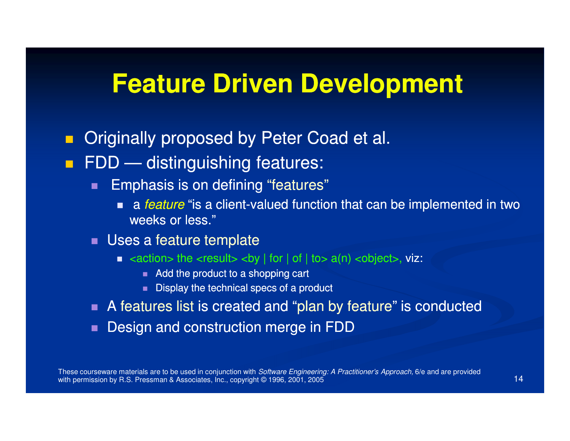### **Feature Driven Development**

- $\blacksquare$ Originally proposed by Peter Coad et al.
- $\blacksquare$  FDD — distinguishing features:
	- ш Emphasis is on defining "features"
		- a *feature* "is a client-valued function that can be implemented in two weeks or less."
	- Uses a feature template
		- $\blacksquare$  <action> the <result> <br/> <br/>koy | for | of | to> a(n) <object>, viz:
			- Add the product to a shopping cart
			- Display the technical specs of a product
	- A features list is created and "plan by feature" is conducted
	- $\blacksquare$ Design and construction merge in FDD